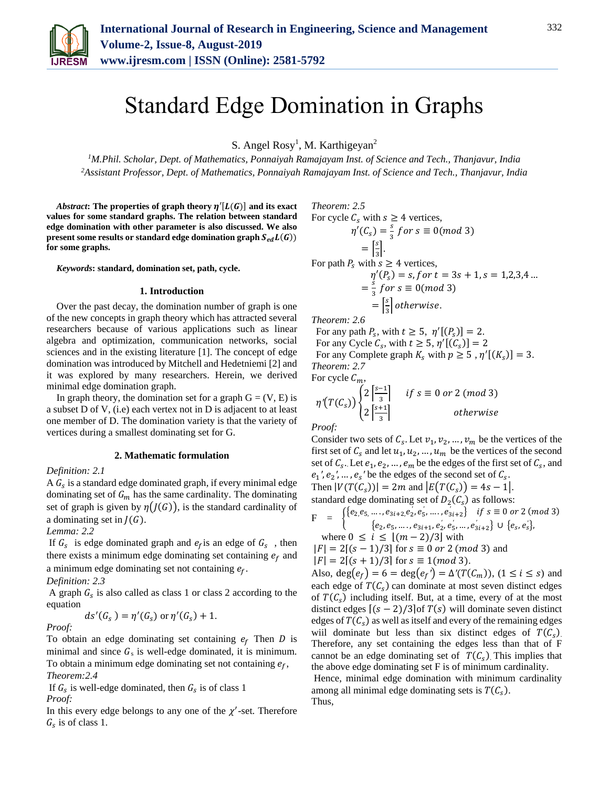

# Standard Edge Domination in Graphs

S. Angel Rosy<sup>1</sup>, M. Karthigeyan<sup>2</sup>

*<sup>1</sup>M.Phil. Scholar, Dept. of Mathematics, Ponnaiyah Ramajayam Inst. of Science and Tech., Thanjavur, India 2Assistant Professor, Dept. of Mathematics, Ponnaiyah Ramajayam Inst. of Science and Tech., Thanjavur, India*

*Abstract*: The properties of graph theory  $\eta'[L(G)]$  and its exact **values for some standard graphs. The relation between standard edge domination with other parameter is also discussed. We also present some results or standard edge domination graph**  $S_{ed}L(G)$ **) for some graphs.**

*Keywords***: standard, domination set, path, cycle.** 

#### **1. Introduction**

Over the past decay, the domination number of graph is one of the new concepts in graph theory which has attracted several researchers because of various applications such as linear algebra and optimization, communication networks, social sciences and in the existing literature [1]. The concept of edge domination was introduced by Mitchell and Hedetniemi [2] and it was explored by many researchers. Herein, we derived minimal edge domination graph.

In graph theory, the domination set for a graph  $G = (V, E)$  is a subset D of V, (i.e) each vertex not in D is adjacent to at least one member of D. The domination variety is that the variety of vertices during a smallest dominating set for G.

#### **2. Mathematic formulation**

## *Definition: 2.1*

A  $G_s$  is a standard edge dominated graph, if every minimal edge dominating set of  $G_m$  has the same cardinality. The dominating set of graph is given by  $\eta(J(G))$ , is the standard cardinality of a dominating set in  $J(G)$ .

# *Lemma: 2.2*

If  $G_s$  is edge dominated graph and  $e_f$  is an edge of  $G_s$ , then there exists a minimum edge dominating set containing  $e_f$  and a minimum edge dominating set not containing  $e_f$ .

*Definition: 2.3* 

A graph  $G_s$  is also called as class 1 or class 2 according to the equation

$$
ds'(G_s) = \eta'(G_s) \text{ or } \eta'(G_s) + 1.
$$

*Proof:*

To obtain an edge dominating set containing  $e_f$  Then D is minimal and since  $G_s$  is well-edge dominated, it is minimum. To obtain a minimum edge dominating set not containing  $e_f$ , *Theorem:2.4*

If  $G_s$  is well-edge dominated, then  $G_s$  is of class 1 *Proof:*

In this every edge belongs to any one of the  $\chi'$ -set. Therefore  $G_s$  is of class 1.

*Theorem: 2.5* 

For cycle 
$$
C_s
$$
 with  $s \ge 4$  vertices,  
\n
$$
\eta'(C_s) = \frac{s}{3} \text{ for } s \equiv 0 \pmod{3}
$$
\n
$$
= \left[\frac{s}{3}\right].
$$
\nFor path  $P_s$  with  $s \ge 4$  vertices,  
\n
$$
\eta'(P_s) = s, \text{ for } t = 3s + 1, s = 1, 2, 3, 4 \dots
$$
\n
$$
= \frac{s}{3} \text{ for } s \equiv 0 \pmod{3}
$$
\n
$$
= \left[\frac{s}{3}\right] \text{ otherwise.}
$$

*Theorem: 2.6*

For any path  $P_s$ , with  $t \geq 5$ ,  $\eta'[(P_s)] = 2$ . For any Cycle  $C_s$ , with  $t \geq 5$ ,  $\eta'[(C_s)] = 2$ For any Complete graph  $K_s$  with  $p \geq 5$ ,  $\eta'[(K_s)] = 3$ . *Theorem: 2.7*

For cycle  $C_m$ ,<br> $\int_{\Omega} [s-1]$ 

$$
\eta'(T(C_s))\begin{cases}2\left|\frac{s-1}{3}\right| & \text{if } s \equiv 0 \text{ or } 2 \text{ (mod 3)}\\2\left|\frac{s+1}{3}\right| & \text{otherwise}\end{cases}
$$

*Proof:* 

Consider two sets of  $C_s$ . Let  $v_1, v_2, ..., v_m$  be the vertices of the first set of  $C_s$  and let  $u_1, u_2, \dots, u_m$  be the vertices of the second set of  $C_s$ . Let  $e_1, e_2, ..., e_m$  be the edges of the first set of  $C_s$ , and  $e_1$ ',  $e_2$ ', ...,  $e_s$ ' be the edges of the second set of  $C_s$ . Then  $|V(T(C_s))| = 2m$  and  $|E(T(C_s))| = 4s - 1$ .

standard edge dominating set of  $D_2(C_s)$  as follows:

$$
F = \begin{cases} \{e_2, e_5, \dots, e_{3i+2}, e_2, e_5', \dots, e_{3i+2}'\} & \text{if } s \equiv 0 \text{ or } 2 \text{ (mod 3)}\\ \{e_2, e_5, \dots, e_{3i+1}, e_2', e_5', \dots, e_{3i+2}'\} & \cup \{e_s, e_s'\}, \end{cases}
$$
  
where  $0 \le i \le [(m-2)/3]$  with  
 $|F| = 2[(s-1)/3]$  for  $s \equiv 0 \text{ or } 2 \text{ (mod 3)} \text{ and}$ 

$$
|F| = 2[(s + 1)/3] \text{ for } s \equiv 0 \text{ or } 2 \text{ (mod 3)} \text{ and}
$$
  

$$
|F| = 2[(s + 1)/3] \text{ for } s \equiv 1 \text{ (mod 3)}.
$$

Also,  $deg(e_f) = 6 = deg(e_f') = \Delta'(T(C_m))$ ,  $(1 \le i \le s)$  and each edge of  $T(C_s)$  can dominate at most seven distinct edges of  $T(C_s)$  including itself. But, at a time, every of at the most distinct edges  $[(s-2)/3]$  of  $T(s)$  will dominate seven distinct edges of  $T(C_s)$  as well as itself and every of the remaining edges wiil dominate but less than six distinct edges of  $T(C_s)$ . Therefore, any set containing the edges less than that of F cannot be an edge dominating set of  $T(C_s)$ . This implies that the above edge dominating set F is of minimum cardinality.

Hence, minimal edge domination with minimum cardinality among all minimal edge dominating sets is  $T(C_s)$ . Thus,